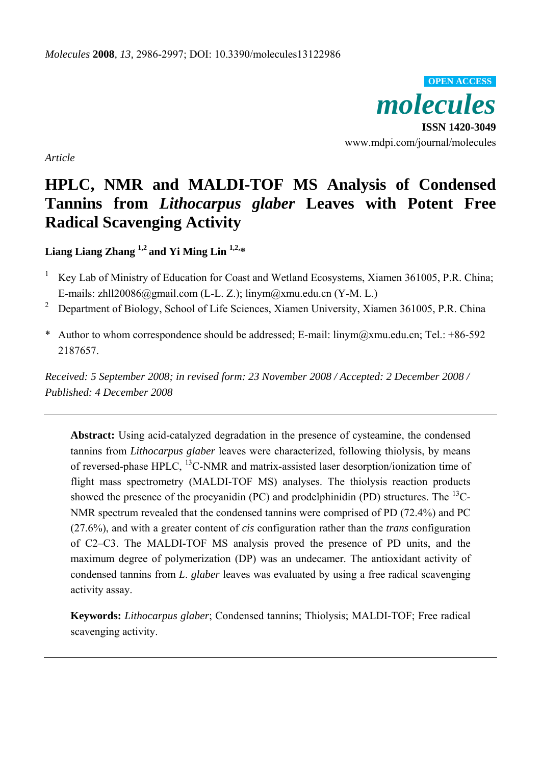*molecules*  **ISSN 1420-3049**  www.mdpi.com/journal/molecules **OPEN ACCESS**

*Article* 

# **HPLC, NMR and MALDI-TOF MS Analysis of Condensed Tannins from** *Lithocarpus glaber* **Leaves with Potent Free Radical Scavenging Activity**

**Liang Liang Zhang 1,2 and Yi Ming Lin 1,2,\*** 

- 1 Key Lab of Ministry of Education for Coast and Wetland Ecosystems, Xiamen 361005, P.R. China; E-mails: zhll20086@gmail.com (L-L. Z.); linym@xmu.edu.cn (Y-M. L.)
- 2 Department of Biology, School of Life Sciences, Xiamen University, Xiamen 361005, P.R. China
- \* Author to whom correspondence should be addressed; E-mail: linym@xmu.edu.cn; Tel.: +86-592 2187657.

*Received: 5 September 2008; in revised form: 23 November 2008 / Accepted: 2 December 2008 / Published: 4 December 2008* 

**Abstract:** Using acid-catalyzed degradation in the presence of cysteamine, the condensed tannins from *Lithocarpus glaber* leaves were characterized, following thiolysis, by means of reversed-phase HPLC, 13C-NMR and matrix-assisted laser desorption/ionization time of flight mass spectrometry (MALDI-TOF MS) analyses. The thiolysis reaction products showed the presence of the procyanidin (PC) and prodelphinidin (PD) structures. The  $^{13}$ C-NMR spectrum revealed that the condensed tannins were comprised of PD (72.4%) and PC (27.6%), and with a greater content of *cis* configuration rather than the *trans* configuration of C2–C3. The MALDI-TOF MS analysis proved the presence of PD units, and the maximum degree of polymerization (DP) was an undecamer. The antioxidant activity of condensed tannins from *L*. *glaber* leaves was evaluated by using a free radical scavenging activity assay.

**Keywords:** *Lithocarpus glaber*; Condensed tannins; Thiolysis; MALDI-TOF; Free radical scavenging activity.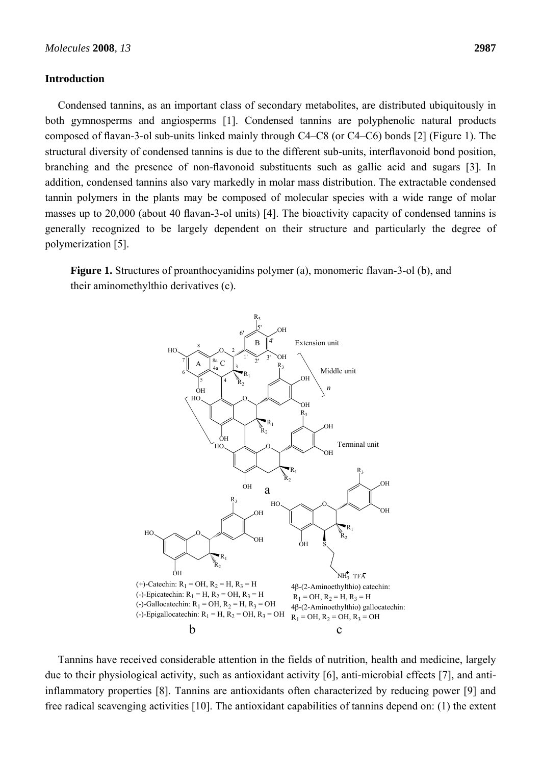#### **Introduction**

Condensed tannins, as an important class of secondary metabolites, are distributed ubiquitously in both gymnosperms and angiosperms [1]. Condensed tannins are polyphenolic natural products composed of flavan-3-ol sub-units linked mainly through C4–C8 (or C4–C6) bonds [2] (Figure 1). The structural diversity of condensed tannins is due to the different sub-units, interflavonoid bond position, branching and the presence of non-flavonoid substituents such as gallic acid and sugars [3]. In addition, condensed tannins also vary markedly in molar mass distribution. The extractable condensed tannin polymers in the plants may be composed of molecular species with a wide range of molar masses up to 20,000 (about 40 flavan-3-ol units) [4]. The bioactivity capacity of condensed tannins is generally recognized to be largely dependent on their structure and particularly the degree of polymerization [5].

**Figure 1.** Structures of proanthocyanidins polymer (a), monomeric flavan-3-ol (b), and their aminomethylthio derivatives (c).



Tannins have received considerable attention in the fields of nutrition, health and medicine, largely due to their physiological activity, such as antioxidant activity [6], anti-microbial effects [7], and antiinflammatory properties [8]. Tannins are antioxidants often characterized by reducing power [9] and free radical scavenging activities [10]. The antioxidant capabilities of tannins depend on: (1) the extent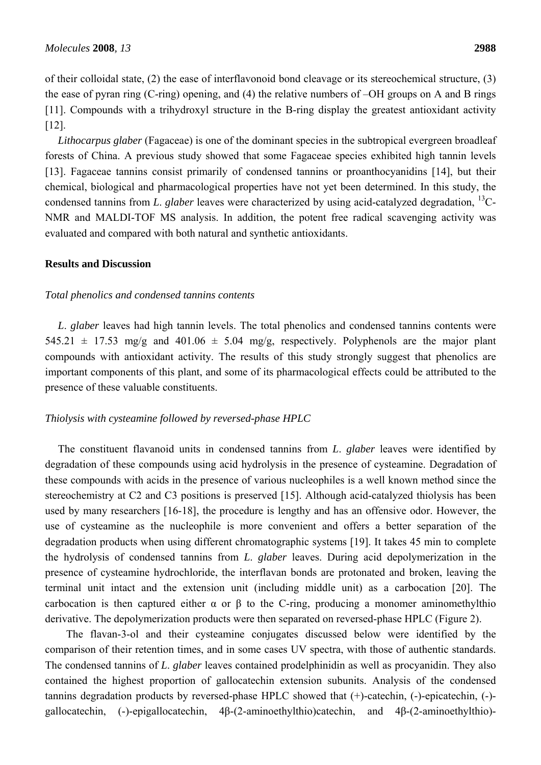of their colloidal state, (2) the ease of interflavonoid bond cleavage or its stereochemical structure, (3) the ease of pyran ring (C-ring) opening, and (4) the relative numbers of –OH groups on A and B rings [11]. Compounds with a trihydroxyl structure in the B-ring display the greatest antioxidant activity [12].

*Lithocarpus glaber* (Fagaceae) is one of the dominant species in the subtropical evergreen broadleaf forests of China. A previous study showed that some Fagaceae species exhibited high tannin levels [13]. Fagaceae tannins consist primarily of condensed tannins or proanthocyanidins [14], but their chemical, biological and pharmacological properties have not yet been determined. In this study, the condensed tannins from *L*. *glaber* leaves were characterized by using acid-catalyzed degradation, 13C-NMR and MALDI-TOF MS analysis. In addition, the potent free radical scavenging activity was evaluated and compared with both natural and synthetic antioxidants.

# **Results and Discussion**

### *Total phenolics and condensed tannins contents*

*L*. *glaber* leaves had high tannin levels. The total phenolics and condensed tannins contents were 545.21  $\pm$  17.53 mg/g and 401.06  $\pm$  5.04 mg/g, respectively. Polyphenols are the major plant compounds with antioxidant activity. The results of this study strongly suggest that phenolics are important components of this plant, and some of its pharmacological effects could be attributed to the presence of these valuable constituents.

#### *Thiolysis with cysteamine followed by reversed-phase HPLC*

The constituent flavanoid units in condensed tannins from *L*. *glaber* leaves were identified by degradation of these compounds using acid hydrolysis in the presence of cysteamine. Degradation of these compounds with acids in the presence of various nucleophiles is a well known method since the stereochemistry at C2 and C3 positions is preserved [15]. Although acid-catalyzed thiolysis has been used by many researchers [16-18], the procedure is lengthy and has an offensive odor. However, the use of cysteamine as the nucleophile is more convenient and offers a better separation of the degradation products when using different chromatographic systems [19]. It takes 45 min to complete the hydrolysis of condensed tannins from *L*. *glaber* leaves. During acid depolymerization in the presence of cysteamine hydrochloride, the interflavan bonds are protonated and broken, leaving the terminal unit intact and the extension unit (including middle unit) as a carbocation [20]. The carbocation is then captured either  $\alpha$  or  $\beta$  to the C-ring, producing a monomer aminomethylthio derivative. The depolymerization products were then separated on reversed-phase HPLC (Figure 2).

 The flavan-3-ol and their cysteamine conjugates discussed below were identified by the comparison of their retention times, and in some cases UV spectra, with those of authentic standards. The condensed tannins of *L*. *glaber* leaves contained prodelphinidin as well as procyanidin. They also contained the highest proportion of gallocatechin extension subunits. Analysis of the condensed tannins degradation products by reversed-phase HPLC showed that (+)-catechin, (-)-epicatechin, (-) gallocatechin, (-)-epigallocatechin, 4β-(2-aminoethylthio)catechin, and 4β-(2-aminoethylthio)-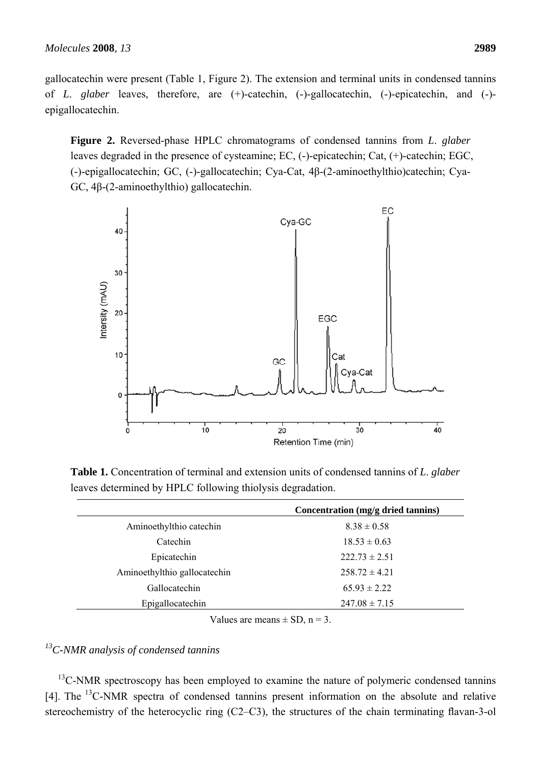gallocatechin were present (Table 1, Figure 2). The extension and terminal units in condensed tannins

of *L*. *glaber* leaves, therefore, are (+)-catechin, (-)-gallocatechin, (-)-epicatechin, and (-) epigallocatechin.

**Figure 2.** Reversed-phase HPLC chromatograms of condensed tannins from *L*. *glaber*  leaves degraded in the presence of cysteamine; EC, (-)-epicatechin; Cat, (+)-catechin; EGC, (-)-epigallocatechin; GC, (-)-gallocatechin; Cya-Cat, 4β-(2-aminoethylthio)catechin; Cya-GC, 4β-(2-aminoethylthio) gallocatechin.



**Table 1.** Concentration of terminal and extension units of condensed tannins of *L*. *glaber* leaves determined by HPLC following thiolysis degradation.

|                              | Concentration (mg/g dried tannins) |  |  |
|------------------------------|------------------------------------|--|--|
| Aminoethylthio catechin      | $8.38 \pm 0.58$                    |  |  |
| Catechin                     | $18.53 \pm 0.63$                   |  |  |
| Epicatechin                  | $222.73 \pm 2.51$                  |  |  |
| Aminoethylthio gallocatechin | $258.72 \pm 4.21$                  |  |  |
| Gallocatechin                | $65.93 \pm 2.22$                   |  |  |
| Epigallocatechin             | $247.08 \pm 7.15$                  |  |  |
|                              |                                    |  |  |

Values are means  $\pm$  SD, n = 3.

# *13C-NMR analysis of condensed tannins*

<sup>13</sup>C-NMR spectroscopy has been employed to examine the nature of polymeric condensed tannins [4]. The <sup>13</sup>C-NMR spectra of condensed tannins present information on the absolute and relative stereochemistry of the heterocyclic ring (C2–C3), the structures of the chain terminating flavan-3-ol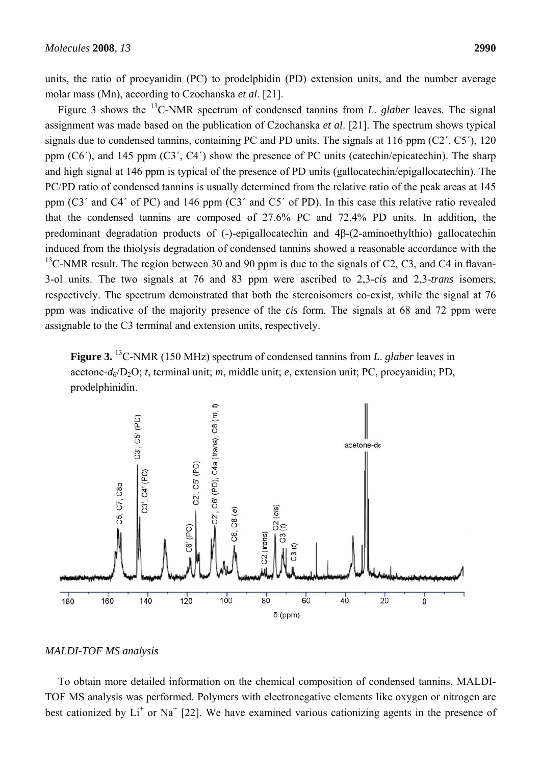units, the ratio of procyanidin (PC) to prodelphidin (PD) extension units, and the number average molar mass (Mn), according to Czochanska *et al*. [21].

Figure 3 shows the 13C-NMR spectrum of condensed tannins from *L*. *glaber* leaves. The signal assignment was made based on the publication of Czochanska *et al*. [21]. The spectrum shows typical signals due to condensed tannins, containing PC and PD units. The signals at 116 ppm (C2´, C5´), 120 ppm  $(C6')$ , and 145 ppm  $(C3', C4')$  show the presence of PC units (catechin/epicatechin). The sharp and high signal at 146 ppm is typical of the presence of PD units (gallocatechin/epigallocatechin). The PC/PD ratio of condensed tannins is usually determined from the relative ratio of the peak areas at 145 ppm (C3´ and C4´ of PC) and 146 ppm (C3´ and C5´ of PD). In this case this relative ratio revealed that the condensed tannins are composed of 27.6% PC and 72.4% PD units. In addition, the predominant degradation products of (-)-epigallocatechin and 4β-(2-aminoethylthio) gallocatechin induced from the thiolysis degradation of condensed tannins showed a reasonable accordance with the <sup>13</sup>C-NMR result. The region between 30 and 90 ppm is due to the signals of C2, C3, and C4 in flavan-3-ol units. The two signals at 76 and 83 ppm were ascribed to 2,3-*cis* and 2,3-*trans* isomers, respectively. The spectrum demonstrated that both the stereoisomers co-exist, while the signal at 76 ppm was indicative of the majority presence of the *cis* form. The signals at 68 and 72 ppm were assignable to the C3 terminal and extension units, respectively.

**Figure 3.** 13C-NMR (150 MHz) spectrum of condensed tannins from *L*. *glaber* leaves in acetone-*d6*/D2O; *t*, terminal unit; *m*, middle unit; *e*, extension unit; PC, procyanidin; PD, prodelphinidin.



# *MALDI-TOF MS analysis*

To obtain more detailed information on the chemical composition of condensed tannins, MALDI-TOF MS analysis was performed. Polymers with electronegative elements like oxygen or nitrogen are best cationized by  $Li<sup>+</sup>$  or Na<sup>+</sup> [22]. We have examined various cationizing agents in the presence of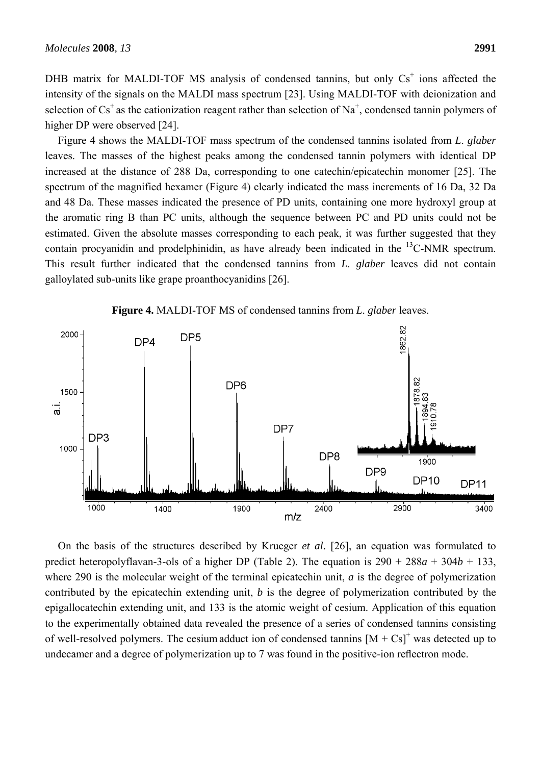DHB matrix for MALDI-TOF MS analysis of condensed tannins, but only  $Cs<sup>+</sup>$  ions affected the intensity of the signals on the MALDI mass spectrum [23]. Using MALDI-TOF with deionization and selection of  $Cs<sup>+</sup>$  as the cationization reagent rather than selection of Na<sup>+</sup>, condensed tannin polymers of higher DP were observed [24].

Figure 4 shows the MALDI-TOF mass spectrum of the condensed tannins isolated from *L*. *glaber* leaves. The masses of the highest peaks among the condensed tannin polymers with identical DP increased at the distance of 288 Da, corresponding to one catechin/epicatechin monomer [25]. The spectrum of the magnified hexamer (Figure 4) clearly indicated the mass increments of 16 Da, 32 Da and 48 Da. These masses indicated the presence of PD units, containing one more hydroxyl group at the aromatic ring B than PC units, although the sequence between PC and PD units could not be estimated. Given the absolute masses corresponding to each peak, it was further suggested that they contain procyanidin and prodelphinidin, as have already been indicated in the <sup>13</sup>C-NMR spectrum. This result further indicated that the condensed tannins from *L*. *glaber* leaves did not contain galloylated sub-units like grape proanthocyanidins [26].



**Figure 4.** MALDI-TOF MS of condensed tannins from *L*. *glaber* leaves.

On the basis of the structures described by Krueger *et al*. [26], an equation was formulated to predict heteropolyflavan-3-ols of a higher DP (Table 2). The equation is  $290 + 288a + 304b + 133$ , where 290 is the molecular weight of the terminal epicatechin unit, *a* is the degree of polymerization contributed by the epicatechin extending unit, *b* is the degree of polymerization contributed by the epigallocatechin extending unit, and 133 is the atomic weight of cesium. Application of this equation to the experimentally obtained data revealed the presence of a series of condensed tannins consisting of well-resolved polymers. The cesium adduct ion of condensed tannins  $[M + Cs]^+$  was detected up to undecamer and a degree of polymerization up to 7 was found in the positive-ion reflectron mode.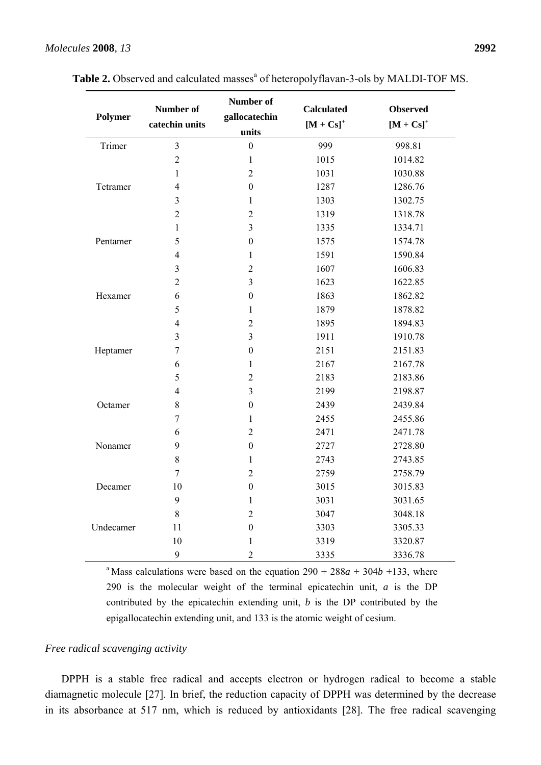| Polymer   | Number of<br>catechin units | Number of<br>gallocatechin<br>units | <b>Calculated</b><br>$[M + Cs]^{+}$ | <b>Observed</b><br>$[M + Cs]^{+}$ |
|-----------|-----------------------------|-------------------------------------|-------------------------------------|-----------------------------------|
| Trimer    | $\overline{3}$              | $\boldsymbol{0}$                    | 999                                 | 998.81                            |
|           | $\overline{2}$              | $\mathbf{1}$                        | 1015                                | 1014.82                           |
| Tetramer  | $\mathbf{1}$                | $\overline{2}$                      | 1031                                | 1030.88                           |
|           | $\overline{4}$              | $\mathbf{0}$                        | 1287                                | 1286.76                           |
|           | 3                           | $\mathbf{1}$                        | 1303                                | 1302.75                           |
|           | $\overline{2}$              | $\overline{2}$                      | 1319                                | 1318.78                           |
| Pentamer  | $\mathbf{1}$                | $\overline{3}$                      | 1335                                | 1334.71                           |
|           | 5                           | $\boldsymbol{0}$                    | 1575                                | 1574.78                           |
|           | $\overline{4}$              | $\mathbf{1}$                        | 1591                                | 1590.84                           |
|           | $\overline{3}$              | $\overline{2}$                      | 1607                                | 1606.83                           |
| Hexamer   | $\overline{2}$              | $\overline{3}$                      | 1623                                | 1622.85                           |
|           | 6                           | $\boldsymbol{0}$                    | 1863                                | 1862.82                           |
|           | 5                           | $\mathbf{1}$                        | 1879                                | 1878.82                           |
|           | $\overline{4}$              | $\overline{2}$                      | 1895                                | 1894.83                           |
| Heptamer  | 3                           | $\overline{3}$                      | 1911                                | 1910.78                           |
|           | $\overline{7}$              | $\boldsymbol{0}$                    | 2151                                | 2151.83                           |
|           | 6                           | $\mathbf{1}$                        | 2167                                | 2167.78                           |
|           | 5                           | $\overline{2}$                      | 2183                                | 2183.86                           |
| Octamer   | $\overline{4}$              | $\overline{3}$                      | 2199                                | 2198.87                           |
|           | 8                           | $\overline{0}$                      | 2439                                | 2439.84                           |
|           | $\sqrt{ }$                  | $\mathbf{1}$                        | 2455                                | 2455.86                           |
|           | 6                           | $\overline{2}$                      | 2471                                | 2471.78                           |
| Nonamer   | 9                           | $\boldsymbol{0}$                    | 2727                                | 2728.80                           |
|           | $8\,$                       | $\mathbf{1}$                        | 2743                                | 2743.85                           |
|           | $\tau$                      | $\overline{2}$                      | 2759                                | 2758.79                           |
| Decamer   | 10                          | $\overline{0}$                      | 3015                                | 3015.83                           |
|           | 9                           | $\mathbf{1}$                        | 3031                                | 3031.65                           |
|           | 8                           | $\overline{2}$                      | 3047                                | 3048.18                           |
| Undecamer | 11                          | $\boldsymbol{0}$                    | 3303                                | 3305.33                           |
|           | 10                          | $\mathbf{1}$                        | 3319                                | 3320.87                           |
|           | 9                           | $\overline{2}$                      | 3335                                | 3336.78                           |

Table 2. Observed and calculated masses<sup>a</sup> of heteropolyflavan-3-ols by MALDI-TOF MS.

<sup>a</sup> Mass calculations were based on the equation  $290 + 288a + 304b + 133$ , where 290 is the molecular weight of the terminal epicatechin unit, *a* is the DP contributed by the epicatechin extending unit, *b* is the DP contributed by the epigallocatechin extending unit, and 133 is the atomic weight of cesium.

#### *Free radical scavenging activity*

DPPH is a stable free radical and accepts electron or hydrogen radical to become a stable diamagnetic molecule [27]. In brief, the reduction capacity of DPPH was determined by the decrease in its absorbance at 517 nm, which is reduced by antioxidants [28]. The free radical scavenging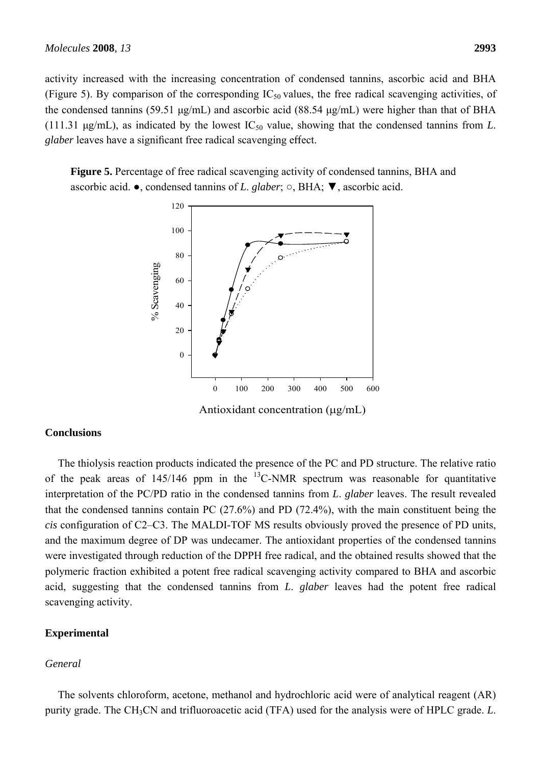activity increased with the increasing concentration of condensed tannins, ascorbic acid and BHA (Figure 5). By comparison of the corresponding  $IC_{50}$  values, the free radical scavenging activities, of the condensed tannins (59.51 μg/mL) and ascorbic acid (88.54 μg/mL) were higher than that of BHA (111.31  $\mu$ g/mL), as indicated by the lowest IC<sub>50</sub> value, showing that the condensed tannins from *L*. *glaber* leaves have a significant free radical scavenging effect.

**Figure 5.** Percentage of free radical scavenging activity of condensed tannins, BHA and ascorbic acid. ●, condensed tannins of *L*. *glaber*; ○, BHA; ▼, ascorbic acid.



Antioxidant concentration (μg/mL)

# **Conclusions**

The thiolysis reaction products indicated the presence of the PC and PD structure. The relative ratio of the peak areas of  $145/146$  ppm in the <sup>13</sup>C-NMR spectrum was reasonable for quantitative interpretation of the PC/PD ratio in the condensed tannins from *L*. *glaber* leaves. The result revealed that the condensed tannins contain PC (27.6%) and PD (72.4%), with the main constituent being the *cis* configuration of C2–C3. The MALDI-TOF MS results obviously proved the presence of PD units, and the maximum degree of DP was undecamer. The antioxidant properties of the condensed tannins were investigated through reduction of the DPPH free radical, and the obtained results showed that the polymeric fraction exhibited a potent free radical scavenging activity compared to BHA and ascorbic acid, suggesting that the condensed tannins from *L*. *glaber* leaves had the potent free radical scavenging activity.

#### **Experimental**

#### *General*

The solvents chloroform, acetone, methanol and hydrochloric acid were of analytical reagent (AR) purity grade. The CH3CN and trifluoroacetic acid (TFA) used for the analysis were of HPLC grade. *L*.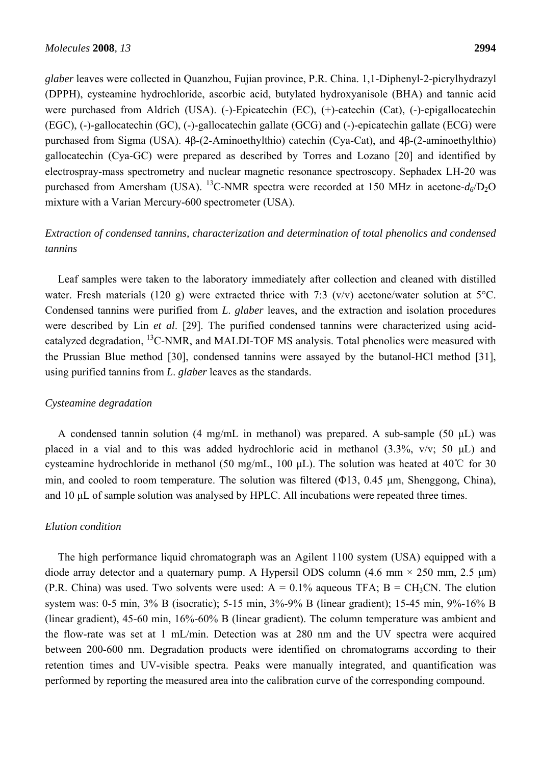*glaber* leaves were collected in Quanzhou, Fujian province, P.R. China. 1,1-Diphenyl-2-picrylhydrazyl (DPPH), cysteamine hydrochloride, ascorbic acid, butylated hydroxyanisole (BHA) and tannic acid were purchased from Aldrich (USA). (-)-Epicatechin (EC), (+)-catechin (Cat), (-)-epigallocatechin (EGC), (-)-gallocatechin (GC), (-)-gallocatechin gallate (GCG) and (-)-epicatechin gallate (ECG) were purchased from Sigma (USA). 4β-(2-Aminoethylthio) catechin (Cya-Cat), and 4β-(2-aminoethylthio) gallocatechin (Cya-GC) were prepared as described by Torres and Lozano [20] and identified by electrospray-mass spectrometry and nuclear magnetic resonance spectroscopy. Sephadex LH-20 was purchased from Amersham (USA). <sup>13</sup>C-NMR spectra were recorded at 150 MHz in acetone- $d_6$ /D<sub>2</sub>O mixture with a Varian Mercury-600 spectrometer (USA).

# *Extraction of condensed tannins, characterization and determination of total phenolics and condensed tannins*

Leaf samples were taken to the laboratory immediately after collection and cleaned with distilled water. Fresh materials (120 g) were extracted thrice with 7:3 (v/v) acetone/water solution at 5<sup>o</sup>C. Condensed tannins were purified from *L*. *glaber* leaves, and the extraction and isolation procedures were described by Lin *et al*. [29]. The purified condensed tannins were characterized using acidcatalyzed degradation,  $^{13}$ C-NMR, and MALDI-TOF MS analysis. Total phenolics were measured with the Prussian Blue method [30], condensed tannins were assayed by the butanol-HCl method [31], using purified tannins from *L*. *glaber* leaves as the standards.

#### *Cysteamine degradation*

A condensed tannin solution (4 mg/mL in methanol) was prepared. A sub-sample (50 μL) was placed in a vial and to this was added hydrochloric acid in methanol (3.3%, v/v; 50 μL) and cysteamine hydrochloride in methanol (50 mg/mL, 100 μL). The solution was heated at 40℃ for 30 min, and cooled to room temperature. The solution was filtered (Φ13, 0.45 μm, Shenggong, China), and 10 μL of sample solution was analysed by HPLC. All incubations were repeated three times.

# *Elution condition*

The high performance liquid chromatograph was an Agilent 1100 system (USA) equipped with a diode array detector and a quaternary pump. A Hypersil ODS column (4.6 mm  $\times$  250 mm, 2.5 µm) (P.R. China) was used. Two solvents were used:  $A = 0.1\%$  aqueous TFA;  $B = CH_3CN$ . The elution system was: 0-5 min, 3% B (isocratic); 5-15 min, 3%-9% B (linear gradient); 15-45 min, 9%-16% B (linear gradient), 45-60 min, 16%-60% B (linear gradient). The column temperature was ambient and the flow-rate was set at 1 mL/min. Detection was at 280 nm and the UV spectra were acquired between 200-600 nm. Degradation products were identified on chromatograms according to their retention times and UV-visible spectra. Peaks were manually integrated, and quantification was performed by reporting the measured area into the calibration curve of the corresponding compound.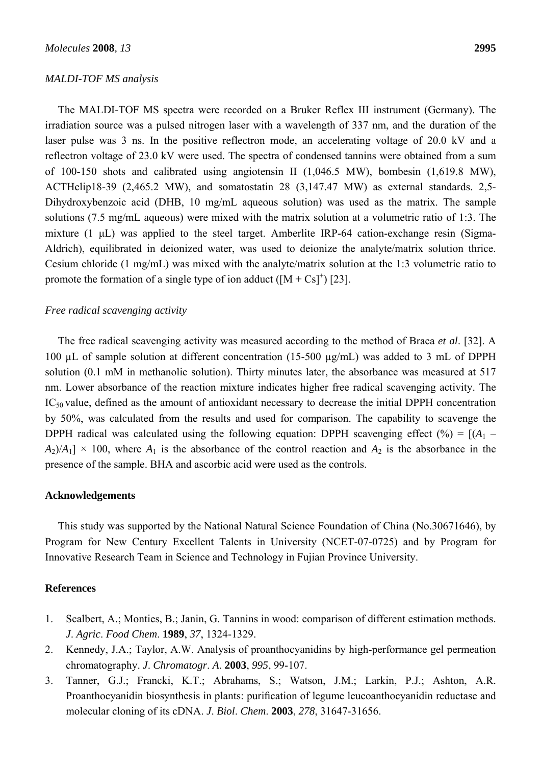#### *MALDI-TOF MS analysis*

The MALDI-TOF MS spectra were recorded on a Bruker Reflex III instrument (Germany). The irradiation source was a pulsed nitrogen laser with a wavelength of 337 nm, and the duration of the laser pulse was 3 ns. In the positive reflectron mode, an accelerating voltage of 20.0 kV and a reflectron voltage of 23.0 kV were used. The spectra of condensed tannins were obtained from a sum of 100-150 shots and calibrated using angiotensin II (1,046.5 MW), bombesin (1,619.8 MW), ACTHclip18-39 (2,465.2 MW), and somatostatin 28 (3,147.47 MW) as external standards. 2,5- Dihydroxybenzoic acid (DHB, 10 mg/mL aqueous solution) was used as the matrix. The sample solutions (7.5 mg/mL aqueous) were mixed with the matrix solution at a volumetric ratio of 1:3. The mixture (1 μL) was applied to the steel target. Amberlite IRP-64 cation-exchange resin (Sigma-Aldrich), equilibrated in deionized water, was used to deionize the analyte/matrix solution thrice. Cesium chloride (1 mg/mL) was mixed with the analyte/matrix solution at the 1:3 volumetric ratio to promote the formation of a single type of ion adduct  $([M + Cs]^+)$  [23].

#### *Free radical scavenging activity*

The free radical scavenging activity was measured according to the method of Braca *et al*. [32]. A 100 µL of sample solution at different concentration (15-500 µg/mL) was added to 3 mL of DPPH solution (0.1 mM in methanolic solution). Thirty minutes later, the absorbance was measured at 517 nm. Lower absorbance of the reaction mixture indicates higher free radical scavenging activity. The IC<sub>50</sub> value, defined as the amount of antioxidant necessary to decrease the initial DPPH concentration by 50%, was calculated from the results and used for comparison. The capability to scavenge the DPPH radical was calculated using the following equation: DPPH scavenging effect  $(\% ) = [(A_1 A_2$ / $A_1$ ]  $\times$  100, where  $A_1$  is the absorbance of the control reaction and  $A_2$  is the absorbance in the presence of the sample. BHA and ascorbic acid were used as the controls.

# **Acknowledgements**

This study was supported by the National Natural Science Foundation of China (No.30671646), by Program for New Century Excellent Talents in University (NCET-07-0725) and by Program for Innovative Research Team in Science and Technology in Fujian Province University.

#### **References**

- 1. Scalbert, A.; Monties, B.; Janin, G. Tannins in wood: comparison of different estimation methods. *J*. *Agric*. *Food Chem*. **1989**, *37*, 1324-1329.
- 2. Kennedy, J.A.; Taylor, A.W. Analysis of proanthocyanidins by high-performance gel permeation chromatography. *J*. *Chromatogr*. *A*. **2003**, *995*, 99-107.
- 3. Tanner, G.J.; Francki, K.T.; Abrahams, S.; Watson, J.M.; Larkin, P.J.; Ashton, A.R. Proanthocyanidin biosynthesis in plants: purification of legume leucoanthocyanidin reductase and molecular cloning of its cDNA. *J*. *Biol*. *Chem*. **2003**, *278*, 31647-31656.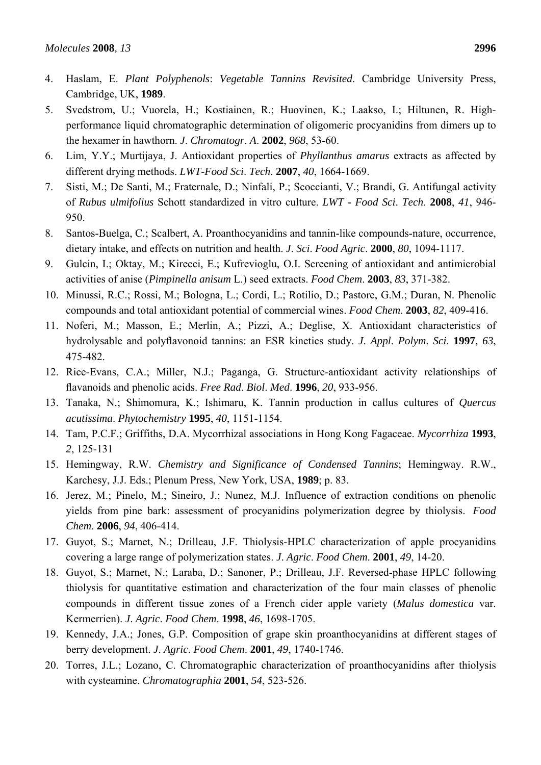- 4. Haslam, E. *Plant Polyphenols*: *Vegetable Tannins Revisited*. Cambridge University Press, Cambridge, UK, **1989**.
- 5. Svedstrom, U.; Vuorela, H.; Kostiainen, R.; Huovinen, K.; Laakso, I.; Hiltunen, R. Highperformance liquid chromatographic determination of oligomeric procyanidins from dimers up to the hexamer in hawthorn. *J*. *Chromatogr*. *A*. **2002**, *968*, 53-60.
- 6. Lim, Y.Y.; Murtijaya, J. Antioxidant properties of *Phyllanthus amarus* extracts as affected by different drying methods. *LWT-Food Sci*. *Tech*. **2007**, *40*, 1664-1669.
- 7. Sisti, M.; De Santi, M.; Fraternale, D.; Ninfali, P.; Scoccianti, V.; Brandi, G. Antifungal activity of *Rubus ulmifolius* Schott standardized in vitro culture. *LWT - Food Sci*. *Tech*. **2008**, *41*, 946- 950.
- 8. Santos-Buelga, C.; Scalbert, A. Proanthocyanidins and tannin-like compounds-nature, occurrence, dietary intake, and effects on nutrition and health. *J*. *Sci*. *Food Agric*. **2000**, *80*, 1094-1117.
- 9. Gulcin, I.; Oktay, M.; Kirecci, E.; Kufrevioglu, O.I. Screening of antioxidant and antimicrobial activities of anise (*Pimpinella anisum* L.) seed extracts. *Food Chem*. **2003**, *83*, 371-382.
- 10. Minussi, R.C.; Rossi, M.; Bologna, L.; Cordi, L.; Rotilio, D.; Pastore, G.M.; Duran, N. Phenolic compounds and total antioxidant potential of commercial wines. *Food Chem*. **2003**, *82*, 409-416.
- 11. Noferi, M.; Masson, E.; Merlin, A.; Pizzi, A.; Deglise, X. Antioxidant characteristics of hydrolysable and polyflavonoid tannins: an ESR kinetics study. *J*. *Appl*. *Polym*. *Sci*. **1997**, *63*, 475-482.
- 12. Rice-Evans, C.A.; Miller, N.J.; Paganga, G. Structure-antioxidant activity relationships of flavanoids and phenolic acids. *Free Rad*. *Biol*. *Med*. **1996**, *20*, 933-956.
- 13. Tanaka, N.; Shimomura, K.; Ishimaru, K. Tannin production in callus cultures of *Quercus acutissima*. *Phytochemistry* **1995**, *40*, 1151-1154.
- 14. Tam, P.C.F.; Griffiths, D.A. Mycorrhizal associations in Hong Kong Fagaceae. *Mycorrhiza* **1993**, *2*, 125-131
- 15. Hemingway, R.W. *Chemistry and Significance of Condensed Tannins*; Hemingway. R.W., Karchesy, J.J. Eds.; Plenum Press, New York, USA, **1989**; p. 83.
- 16. Jerez, M.; Pinelo, M.; Sineiro, J.; Nunez, M.J. Influence of extraction conditions on phenolic yields from pine bark: assessment of procyanidins polymerization degree by thiolysis. *Food Chem*. **2006**, *94*, 406-414.
- 17. Guyot, S.; Marnet, N.; Drilleau, J.F. Thiolysis-HPLC characterization of apple procyanidins covering a large range of polymerization states. *J*. *Agric*. *Food Chem*. **2001**, *49*, 14-20.
- 18. Guyot, S.; Marnet, N.; Laraba, D.; Sanoner, P.; Drilleau, J.F. Reversed-phase HPLC following thiolysis for quantitative estimation and characterization of the four main classes of phenolic compounds in different tissue zones of a French cider apple variety (*Malus domestica* var. Kermerrien). *J*. *Agric*. *Food Chem*. **1998**, *46*, 1698-1705.
- 19. Kennedy, J.A.; Jones, G.P. Composition of grape skin proanthocyanidins at different stages of berry development. *J*. *Agric*. *Food Chem*. **2001**, *49*, 1740-1746.
- 20. Torres, J.L.; Lozano, C. Chromatographic characterization of proanthocyanidins after thiolysis with cysteamine. *Chromatographia* **2001**, *54*, 523-526.